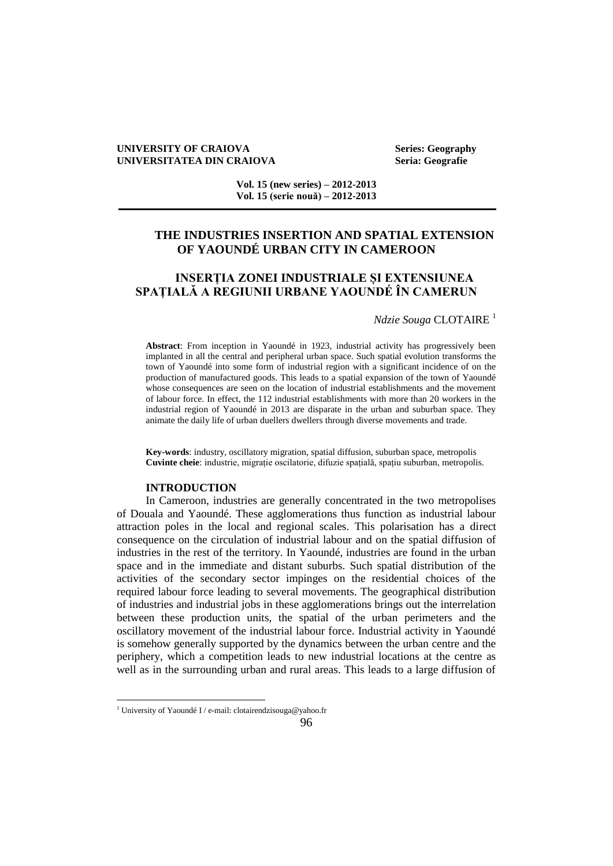### **UNIVERSITY OF CRAIOVA Series: Geography UNIVERSITATEA DIN CRAIOVA Seria: Geografie**

**Vol. 15 (new series) – 2012-2013 Vol. 15 (serie nouă) – 2012-2013**

# **THE INDUSTRIES INSERTION AND SPATIAL EXTENSION OF YAOUNDÉ URBAN CITY IN CAMEROON**

# **INSERȚIA ZONEI INDUSTRIALE ȘI EXTENSIUNEA SPAȚIALĂ A REGIUNII URBANE YAOUNDÉ ÎN CAMERUN**

## *Ndzie Souga* CLOTAIRE<sup>1</sup>

**Abstract**: From inception in Yaoundé in 1923, industrial activity has progressively been implanted in all the central and peripheral urban space. Such spatial evolution transforms the town of Yaoundé into some form of industrial region with a significant incidence of on the production of manufactured goods. This leads to a spatial expansion of the town of Yaoundé whose consequences are seen on the location of industrial establishments and the movement of labour force. In effect, the 112 industrial establishments with more than 20 workers in the industrial region of Yaoundé in 2013 are disparate in the urban and suburban space. They animate the daily life of urban duellers dwellers through diverse movements and trade.

**Key-words**: industry, oscillatory migration, spatial diffusion, suburban space, metropolis **Cuvinte cheie**: industrie, migrație oscilatorie, difuzie spațială, spațiu suburban, metropolis.

### **INTRODUCTION**

In Cameroon, industries are generally concentrated in the two metropolises of Douala and Yaoundé. These agglomerations thus function as industrial labour attraction poles in the local and regional scales. This polarisation has a direct consequence on the circulation of industrial labour and on the spatial diffusion of industries in the rest of the territory. In Yaoundé, industries are found in the urban space and in the immediate and distant suburbs. Such spatial distribution of the activities of the secondary sector impinges on the residential choices of the required labour force leading to several movements. The geographical distribution of industries and industrial jobs in these agglomerations brings out the interrelation between these production units, the spatial of the urban perimeters and the oscillatory movement of the industrial labour force. Industrial activity in Yaoundé is somehow generally supported by the dynamics between the urban centre and the periphery, which a competition leads to new industrial locations at the centre as well as in the surrounding urban and rural areas. This leads to a large diffusion of

 $\overline{a}$ 

<sup>&</sup>lt;sup>1</sup> University of Yaoundé I / e-mail: [clotairendzisouga@yahoo.fr](mailto:clotairendzisouga@yahoo.fr)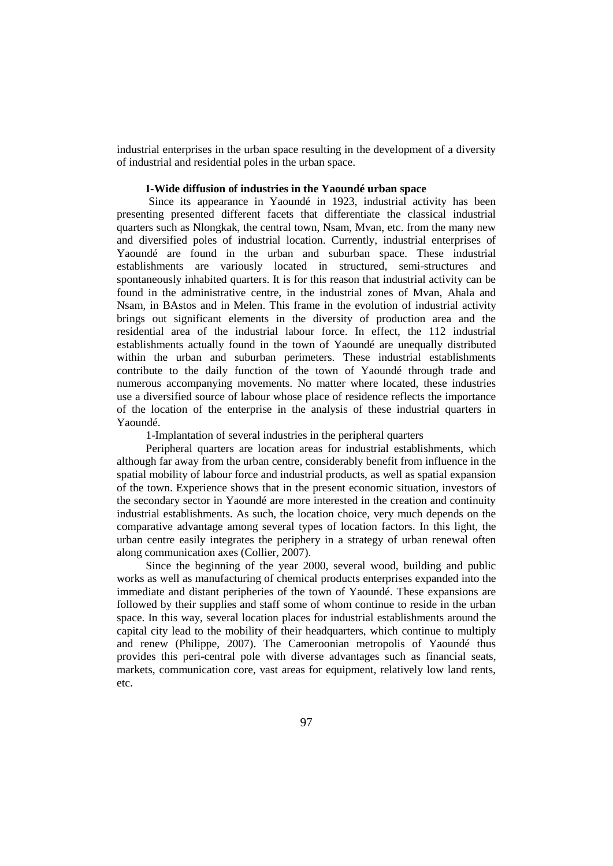industrial enterprises in the urban space resulting in the development of a diversity of industrial and residential poles in the urban space.

## **I-Wide diffusion of industries in the Yaoundé urban space**

Since its appearance in Yaoundé in 1923, industrial activity has been presenting presented different facets that differentiate the classical industrial quarters such as Nlongkak, the central town, Nsam, Mvan, etc. from the many new and diversified poles of industrial location. Currently, industrial enterprises of Yaoundé are found in the urban and suburban space. These industrial establishments are variously located in structured, semi-structures and spontaneously inhabited quarters. It is for this reason that industrial activity can be found in the administrative centre, in the industrial zones of Mvan, Ahala and Nsam, in BAstos and in Melen. This frame in the evolution of industrial activity brings out significant elements in the diversity of production area and the residential area of the industrial labour force. In effect, the 112 industrial establishments actually found in the town of Yaoundé are unequally distributed within the urban and suburban perimeters. These industrial establishments contribute to the daily function of the town of Yaoundé through trade and numerous accompanying movements. No matter where located, these industries use a diversified source of labour whose place of residence reflects the importance of the location of the enterprise in the analysis of these industrial quarters in Yaoundé.

1-Implantation of several industries in the peripheral quarters

Peripheral quarters are location areas for industrial establishments, which although far away from the urban centre, considerably benefit from influence in the spatial mobility of labour force and industrial products, as well as spatial expansion of the town. Experience shows that in the present economic situation, investors of the secondary sector in Yaoundé are more interested in the creation and continuity industrial establishments. As such, the location choice, very much depends on the comparative advantage among several types of location factors. In this light, the urban centre easily integrates the periphery in a strategy of urban renewal often along communication axes (Collier, 2007).

Since the beginning of the year 2000, several wood, building and public works as well as manufacturing of chemical products enterprises expanded into the immediate and distant peripheries of the town of Yaoundé. These expansions are followed by their supplies and staff some of whom continue to reside in the urban space. In this way, several location places for industrial establishments around the capital city lead to the mobility of their headquarters, which continue to multiply and renew (Philippe, 2007). The Cameroonian metropolis of Yaoundé thus provides this peri-central pole with diverse advantages such as financial seats, markets, communication core, vast areas for equipment, relatively low land rents, etc.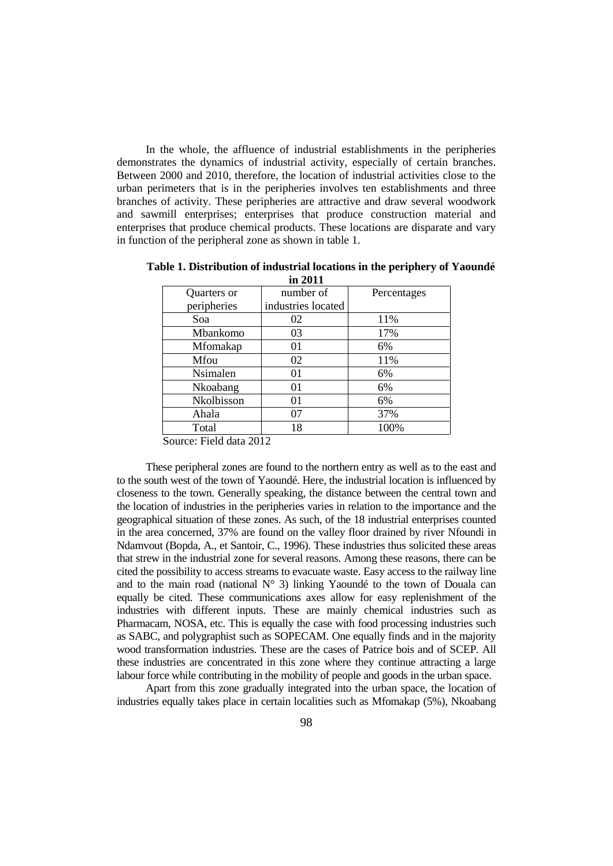In the whole, the affluence of industrial establishments in the peripheries demonstrates the dynamics of industrial activity, especially of certain branches. Between 2000 and 2010, therefore, the location of industrial activities close to the urban perimeters that is in the peripheries involves ten establishments and three branches of activity. These peripheries are attractive and draw several woodwork and sawmill enterprises; enterprises that produce construction material and enterprises that produce chemical products. These locations are disparate and vary in function of the peripheral zone as shown in table 1.

| Quarters or | number of          | Percentages |
|-------------|--------------------|-------------|
| peripheries | industries located |             |
| Soa         | 02                 | 11%         |
| Mbankomo    | 03                 | 17%         |
| Mfomakap    | 01                 | 6%          |
| Mfou        | 02                 | 11%         |
| Nsimalen    | 01                 | 6%          |
| Nkoabang    | 01                 | 6%          |
| Nkolbisson  | 01                 | 6%          |
| Ahala       | 07                 | 37%         |
| Total       | 18                 | 100%        |

**Table 1. Distribution of industrial locations in the periphery of Yaoundé in 2011**

Source: Field data 2012

These peripheral zones are found to the northern entry as well as to the east and to the south west of the town of Yaoundé. Here, the industrial location is influenced by closeness to the town. Generally speaking, the distance between the central town and the location of industries in the peripheries varies in relation to the importance and the geographical situation of these zones. As such, of the 18 industrial enterprises counted in the area concerned, 37% are found on the valley floor drained by river Nfoundi in Ndamvout (Bopda, A., et Santoir, C., 1996). These industries thus solicited these areas that strew in the industrial zone for several reasons. Among these reasons, there can be cited the possibility to access streams to evacuate waste. Easy access to the railway line and to the main road (national  $N^{\circ}$  3) linking Yaoundé to the town of Douala can equally be cited. These communications axes allow for easy replenishment of the industries with different inputs. These are mainly chemical industries such as Pharmacam, NOSA, etc. This is equally the case with food processing industries such as SABC, and polygraphist such as SOPECAM. One equally finds and in the majority wood transformation industries. These are the cases of Patrice bois and of SCEP. All these industries are concentrated in this zone where they continue attracting a large labour force while contributing in the mobility of people and goods in the urban space.

Apart from this zone gradually integrated into the urban space, the location of industries equally takes place in certain localities such as Mfomakap (5%), Nkoabang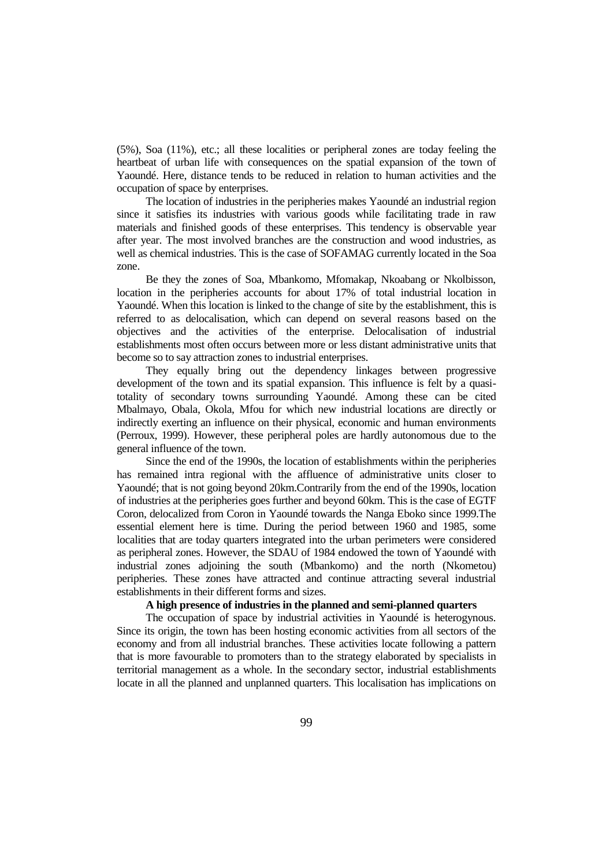(5%), Soa (11%), etc.; all these localities or peripheral zones are today feeling the heartbeat of urban life with consequences on the spatial expansion of the town of Yaoundé. Here, distance tends to be reduced in relation to human activities and the occupation of space by enterprises.

The location of industries in the peripheries makes Yaoundé an industrial region since it satisfies its industries with various goods while facilitating trade in raw materials and finished goods of these enterprises. This tendency is observable year after year. The most involved branches are the construction and wood industries, as well as chemical industries. This is the case of SOFAMAG currently located in the Soa zone.

Be they the zones of Soa, Mbankomo, Mfomakap, Nkoabang or Nkolbisson, location in the peripheries accounts for about 17% of total industrial location in Yaoundé. When this location is linked to the change of site by the establishment, this is referred to as delocalisation, which can depend on several reasons based on the objectives and the activities of the enterprise. Delocalisation of industrial establishments most often occurs between more or less distant administrative units that become so to say attraction zones to industrial enterprises.

They equally bring out the dependency linkages between progressive development of the town and its spatial expansion. This influence is felt by a quasitotality of secondary towns surrounding Yaoundé. Among these can be cited Mbalmayo, Obala, Okola, Mfou for which new industrial locations are directly or indirectly exerting an influence on their physical, economic and human environments (Perroux, 1999). However, these peripheral poles are hardly autonomous due to the general influence of the town.

Since the end of the 1990s, the location of establishments within the peripheries has remained intra regional with the affluence of administrative units closer to Yaoundé; that is not going beyond 20km.Contrarily from the end of the 1990s, location of industries at the peripheries goes further and beyond 60km. This is the case of EGTF Coron, delocalized from Coron in Yaoundé towards the Nanga Eboko since 1999.The essential element here is time. During the period between 1960 and 1985, some localities that are today quarters integrated into the urban perimeters were considered as peripheral zones. However, the SDAU of 1984 endowed the town of Yaoundé with industrial zones adjoining the south (Mbankomo) and the north (Nkometou) peripheries. These zones have attracted and continue attracting several industrial establishments in their different forms and sizes.

## **A high presence of industries in the planned and semi-planned quarters**

The occupation of space by industrial activities in Yaoundé is heterogynous. Since its origin, the town has been hosting economic activities from all sectors of the economy and from all industrial branches. These activities locate following a pattern that is more favourable to promoters than to the strategy elaborated by specialists in territorial management as a whole. In the secondary sector, industrial establishments locate in all the planned and unplanned quarters. This localisation has implications on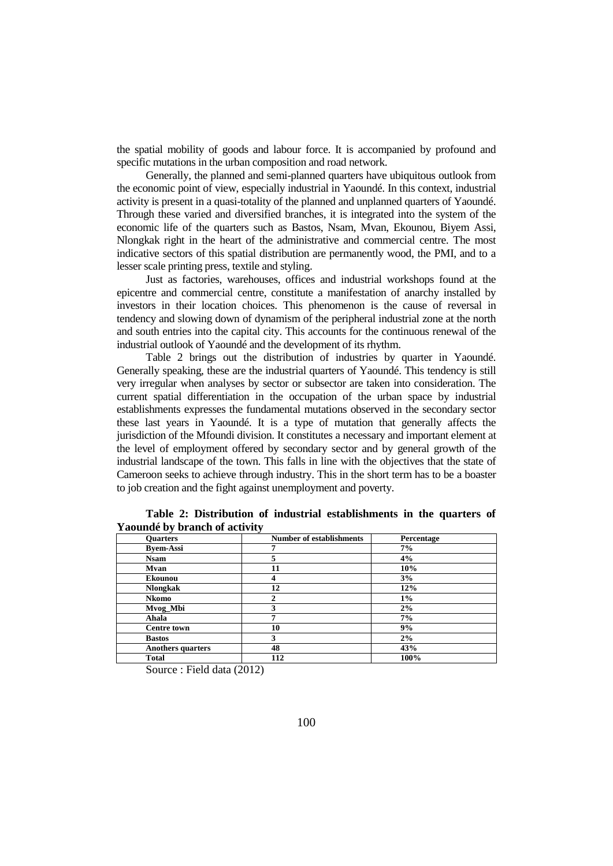the spatial mobility of goods and labour force. It is accompanied by profound and specific mutations in the urban composition and road network.

Generally, the planned and semi-planned quarters have ubiquitous outlook from the economic point of view, especially industrial in Yaoundé. In this context, industrial activity is present in a quasi-totality of the planned and unplanned quarters of Yaoundé. Through these varied and diversified branches, it is integrated into the system of the economic life of the quarters such as Bastos, Nsam, Mvan, Ekounou, Biyem Assi, Nlongkak right in the heart of the administrative and commercial centre. The most indicative sectors of this spatial distribution are permanently wood, the PMI, and to a lesser scale printing press, textile and styling.

Just as factories, warehouses, offices and industrial workshops found at the epicentre and commercial centre, constitute a manifestation of anarchy installed by investors in their location choices. This phenomenon is the cause of reversal in tendency and slowing down of dynamism of the peripheral industrial zone at the north and south entries into the capital city. This accounts for the continuous renewal of the industrial outlook of Yaoundé and the development of its rhythm.

Table 2 brings out the distribution of industries by quarter in Yaoundé. Generally speaking, these are the industrial quarters of Yaoundé. This tendency is still very irregular when analyses by sector or subsector are taken into consideration. The current spatial differentiation in the occupation of the urban space by industrial establishments expresses the fundamental mutations observed in the secondary sector these last years in Yaoundé. It is a type of mutation that generally affects the jurisdiction of the Mfoundi division. It constitutes a necessary and important element at the level of employment offered by secondary sector and by general growth of the industrial landscape of the town. This falls in line with the objectives that the state of Cameroon seeks to achieve through industry. This in the short term has to be a boaster to job creation and the fight against unemployment and poverty.

| <b>Ouarters</b>          | <b>Number of establishments</b> | Percentage |
|--------------------------|---------------------------------|------------|
| <b>Byem-Assi</b>         |                                 | 7%         |
| <b>Nsam</b>              | 5                               | 4%         |
| <b>Mvan</b>              | 11                              | $10\%$     |
| <b>Ekounou</b>           |                                 | 3%         |
| <b>Nlongkak</b>          | 12                              | 12%        |
| <b>Nkomo</b>             |                                 | $1\%$      |
| Mvog_Mbi                 | 3                               | 2%         |
| Ahala                    |                                 | 7%         |
| <b>Centre town</b>       | 10                              | 9%         |
| <b>Bastos</b>            | 3                               | 2%         |
| <b>Anothers quarters</b> | 48                              | 43%        |
| <b>Total</b>             | 112                             | 100%       |

**Table 2: Distribution of industrial establishments in the quarters of Yaoundé by branch of activity**

Source : Field data (2012)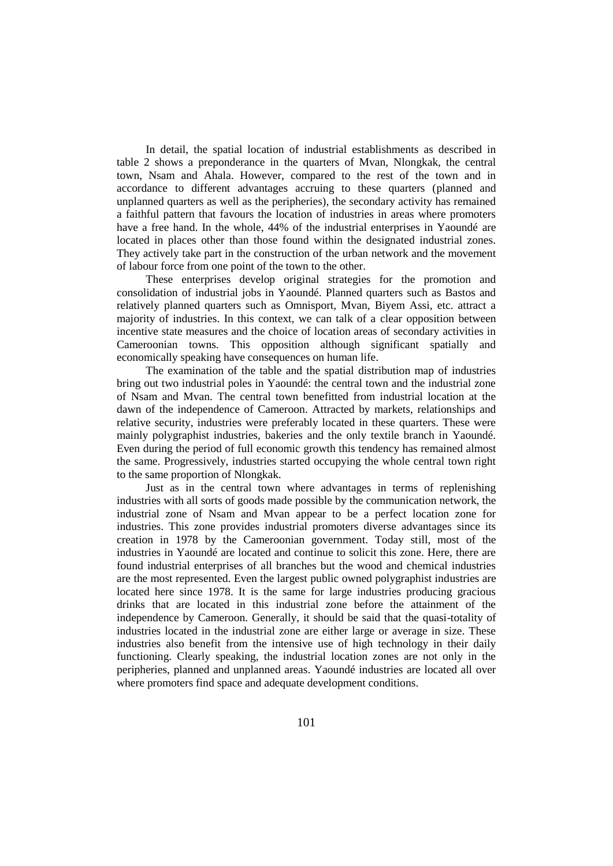In detail, the spatial location of industrial establishments as described in table 2 shows a preponderance in the quarters of Mvan, Nlongkak, the central town, Nsam and Ahala. However, compared to the rest of the town and in accordance to different advantages accruing to these quarters (planned and unplanned quarters as well as the peripheries), the secondary activity has remained a faithful pattern that favours the location of industries in areas where promoters have a free hand. In the whole, 44% of the industrial enterprises in Yaoundé are located in places other than those found within the designated industrial zones. They actively take part in the construction of the urban network and the movement of labour force from one point of the town to the other.

These enterprises develop original strategies for the promotion and consolidation of industrial jobs in Yaoundé. Planned quarters such as Bastos and relatively planned quarters such as Omnisport, Mvan, Biyem Assi, etc. attract a majority of industries. In this context, we can talk of a clear opposition between incentive state measures and the choice of location areas of secondary activities in Cameroonian towns. This opposition although significant spatially and economically speaking have consequences on human life.

The examination of the table and the spatial distribution map of industries bring out two industrial poles in Yaoundé: the central town and the industrial zone of Nsam and Mvan. The central town benefitted from industrial location at the dawn of the independence of Cameroon. Attracted by markets, relationships and relative security, industries were preferably located in these quarters. These were mainly polygraphist industries, bakeries and the only textile branch in Yaoundé. Even during the period of full economic growth this tendency has remained almost the same. Progressively, industries started occupying the whole central town right to the same proportion of Nlongkak.

Just as in the central town where advantages in terms of replenishing industries with all sorts of goods made possible by the communication network, the industrial zone of Nsam and Mvan appear to be a perfect location zone for industries. This zone provides industrial promoters diverse advantages since its creation in 1978 by the Cameroonian government. Today still, most of the industries in Yaoundé are located and continue to solicit this zone. Here, there are found industrial enterprises of all branches but the wood and chemical industries are the most represented. Even the largest public owned polygraphist industries are located here since 1978. It is the same for large industries producing gracious drinks that are located in this industrial zone before the attainment of the independence by Cameroon. Generally, it should be said that the quasi-totality of industries located in the industrial zone are either large or average in size. These industries also benefit from the intensive use of high technology in their daily functioning. Clearly speaking, the industrial location zones are not only in the peripheries, planned and unplanned areas. Yaoundé industries are located all over where promoters find space and adequate development conditions.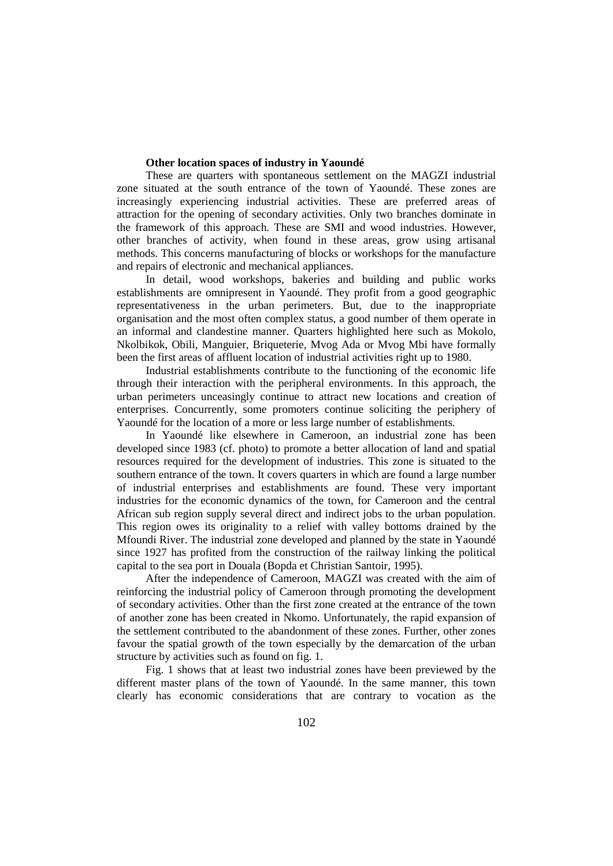## **Other location spaces of industry in Yaoundé**

These are quarters with spontaneous settlement on the MAGZI industrial zone situated at the south entrance of the town of Yaoundé. These zones are increasingly experiencing industrial activities. These are preferred areas of attraction for the opening of secondary activities. Only two branches dominate in the framework of this approach. These are SMI and wood industries. However, other branches of activity, when found in these areas, grow using artisanal methods. This concerns manufacturing of blocks or workshops for the manufacture and repairs of electronic and mechanical appliances.

In detail, wood workshops, bakeries and building and public works establishments are omnipresent in Yaoundé. They profit from a good geographic representativeness in the urban perimeters. But, due to the inappropriate organisation and the most often complex status, a good number of them operate in an informal and clandestine manner. Quarters highlighted here such as Mokolo, Nkolbikok, Obili, Manguier, Briqueterie, Mvog Ada or Mvog Mbi have formally been the first areas of affluent location of industrial activities right up to 1980.

Industrial establishments contribute to the functioning of the economic life through their interaction with the peripheral environments. In this approach, the urban perimeters unceasingly continue to attract new locations and creation of enterprises. Concurrently, some promoters continue soliciting the periphery of Yaoundé for the location of a more or less large number of establishments.

In Yaoundé like elsewhere in Cameroon, an industrial zone has been developed since 1983 (cf. photo) to promote a better allocation of land and spatial resources required for the development of industries. This zone is situated to the southern entrance of the town. It covers quarters in which are found a large number of industrial enterprises and establishments are found. These very important industries for the economic dynamics of the town, for Cameroon and the central African sub region supply several direct and indirect jobs to the urban population. This region owes its originality to a relief with valley bottoms drained by the Mfoundi River. The industrial zone developed and planned by the state in Yaoundé since 1927 has profited from the construction of the railway linking the political capital to the sea port in Douala (Bopda et Christian Santoir, 1995).

After the independence of Cameroon, MAGZI was created with the aim of reinforcing the industrial policy of Cameroon through promoting the development of secondary activities. Other than the first zone created at the entrance of the town of another zone has been created in Nkomo. Unfortunately, the rapid expansion of the settlement contributed to the abandonment of these zones. Further, other zones favour the spatial growth of the town especially by the demarcation of the urban structure by activities such as found on fig. 1.

Fig. 1 shows that at least two industrial zones have been previewed by the different master plans of the town of Yaoundé. In the same manner, this town clearly has economic considerations that are contrary to vocation as the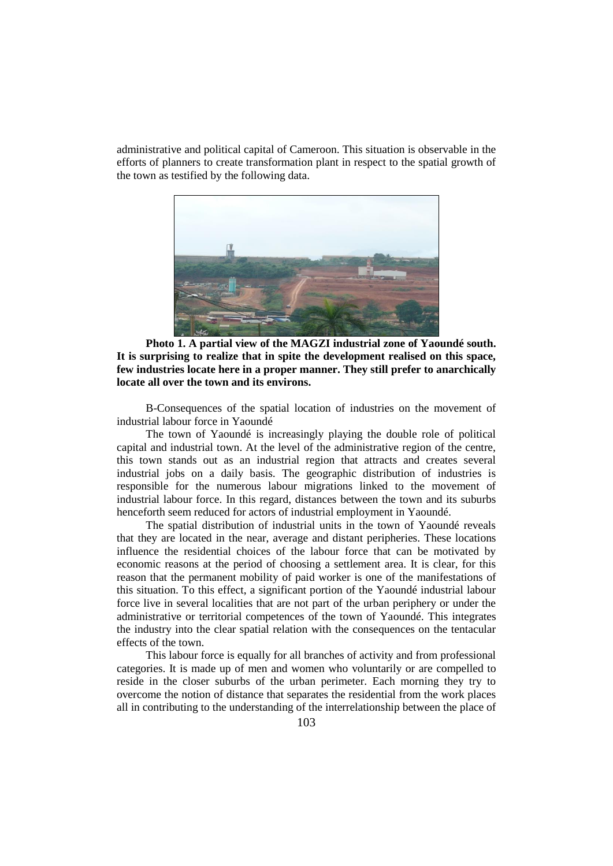administrative and political capital of Cameroon. This situation is observable in the efforts of planners to create transformation plant in respect to the spatial growth of the town as testified by the following data.



**Photo 1. A partial view of the MAGZI industrial zone of Yaoundé south. It is surprising to realize that in spite the development realised on this space, few industries locate here in a proper manner. They still prefer to anarchically locate all over the town and its environs.**

B-Consequences of the spatial location of industries on the movement of industrial labour force in Yaoundé

The town of Yaoundé is increasingly playing the double role of political capital and industrial town. At the level of the administrative region of the centre, this town stands out as an industrial region that attracts and creates several industrial jobs on a daily basis. The geographic distribution of industries is responsible for the numerous labour migrations linked to the movement of industrial labour force. In this regard, distances between the town and its suburbs henceforth seem reduced for actors of industrial employment in Yaoundé.

The spatial distribution of industrial units in the town of Yaoundé reveals that they are located in the near, average and distant peripheries. These locations influence the residential choices of the labour force that can be motivated by economic reasons at the period of choosing a settlement area. It is clear, for this reason that the permanent mobility of paid worker is one of the manifestations of this situation. To this effect, a significant portion of the Yaoundé industrial labour force live in several localities that are not part of the urban periphery or under the administrative or territorial competences of the town of Yaoundé. This integrates the industry into the clear spatial relation with the consequences on the tentacular effects of the town.

This labour force is equally for all branches of activity and from professional categories. It is made up of men and women who voluntarily or are compelled to reside in the closer suburbs of the urban perimeter. Each morning they try to overcome the notion of distance that separates the residential from the work places all in contributing to the understanding of the interrelationship between the place of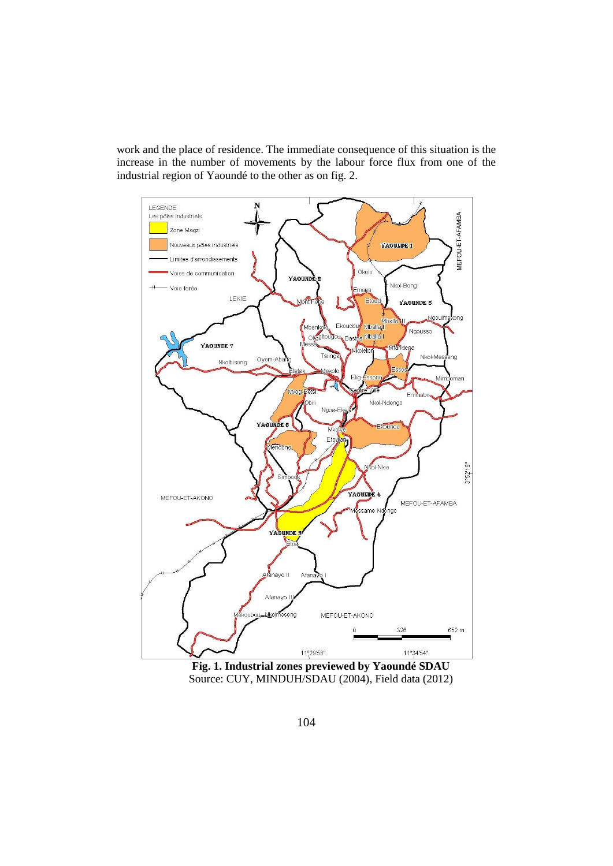work and the place of residence. The immediate consequence of this situation is the increase in the number of movements by the labour force flux from one of the industrial region of Yaoundé to the other as on fig. 2.



**Fig. 1. Industrial zones previewed by Yaoundé SDAU** Source: CUY, MINDUH/SDAU (2004), Field data (2012)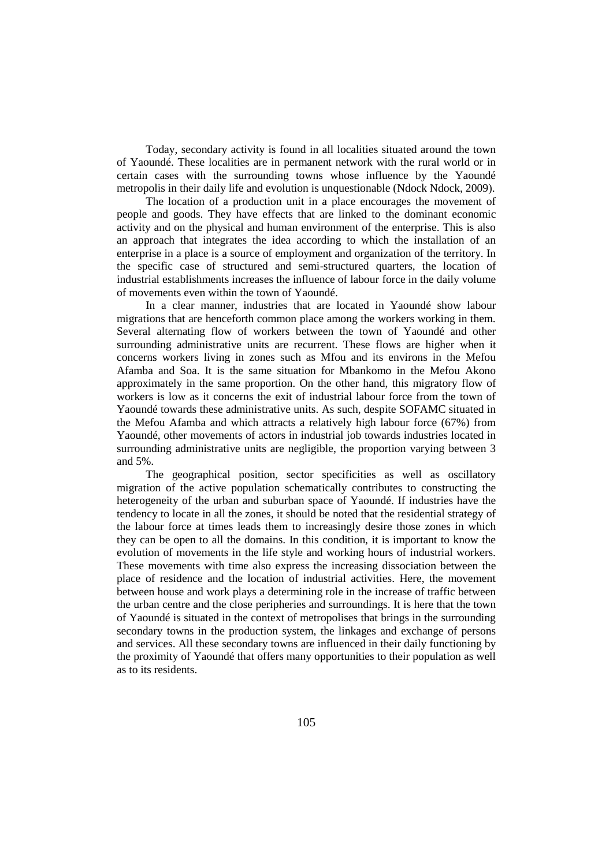Today, secondary activity is found in all localities situated around the town of Yaoundé. These localities are in permanent network with the rural world or in certain cases with the surrounding towns whose influence by the Yaoundé metropolis in their daily life and evolution is unquestionable (Ndock Ndock, 2009).

The location of a production unit in a place encourages the movement of people and goods. They have effects that are linked to the dominant economic activity and on the physical and human environment of the enterprise. This is also an approach that integrates the idea according to which the installation of an enterprise in a place is a source of employment and organization of the territory. In the specific case of structured and semi-structured quarters, the location of industrial establishments increases the influence of labour force in the daily volume of movements even within the town of Yaoundé.

In a clear manner, industries that are located in Yaoundé show labour migrations that are henceforth common place among the workers working in them. Several alternating flow of workers between the town of Yaoundé and other surrounding administrative units are recurrent. These flows are higher when it concerns workers living in zones such as Mfou and its environs in the Mefou Afamba and Soa. It is the same situation for Mbankomo in the Mefou Akono approximately in the same proportion. On the other hand, this migratory flow of workers is low as it concerns the exit of industrial labour force from the town of Yaoundé towards these administrative units. As such, despite SOFAMC situated in the Mefou Afamba and which attracts a relatively high labour force (67%) from Yaoundé, other movements of actors in industrial job towards industries located in surrounding administrative units are negligible, the proportion varying between 3 and 5%.

The geographical position, sector specificities as well as oscillatory migration of the active population schematically contributes to constructing the heterogeneity of the urban and suburban space of Yaoundé. If industries have the tendency to locate in all the zones, it should be noted that the residential strategy of the labour force at times leads them to increasingly desire those zones in which they can be open to all the domains. In this condition, it is important to know the evolution of movements in the life style and working hours of industrial workers. These movements with time also express the increasing dissociation between the place of residence and the location of industrial activities. Here, the movement between house and work plays a determining role in the increase of traffic between the urban centre and the close peripheries and surroundings. It is here that the town of Yaoundé is situated in the context of metropolises that brings in the surrounding secondary towns in the production system, the linkages and exchange of persons and services. All these secondary towns are influenced in their daily functioning by the proximity of Yaoundé that offers many opportunities to their population as well as to its residents.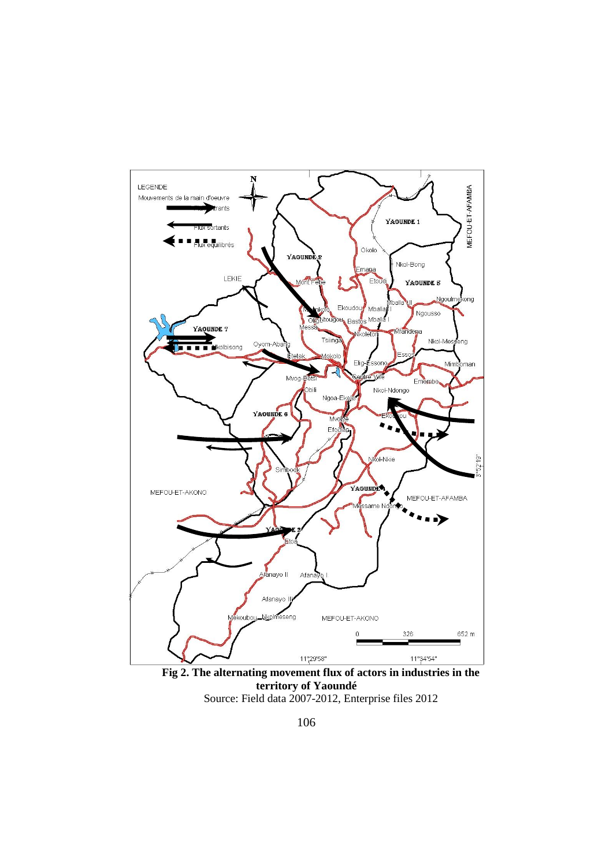

**Fig 2. The alternating movement flux of actors in industries in the territory of Yaoundé** Source: Field data 2007-2012, Enterprise files 2012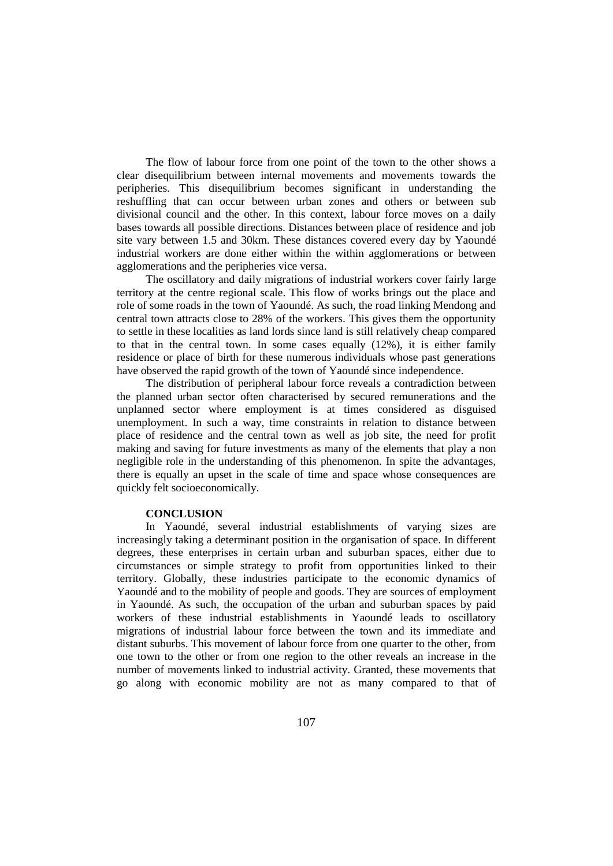The flow of labour force from one point of the town to the other shows a clear disequilibrium between internal movements and movements towards the peripheries. This disequilibrium becomes significant in understanding the reshuffling that can occur between urban zones and others or between sub divisional council and the other. In this context, labour force moves on a daily bases towards all possible directions. Distances between place of residence and job site vary between 1.5 and 30km. These distances covered every day by Yaoundé industrial workers are done either within the within agglomerations or between agglomerations and the peripheries vice versa.

The oscillatory and daily migrations of industrial workers cover fairly large territory at the centre regional scale. This flow of works brings out the place and role of some roads in the town of Yaoundé. As such, the road linking Mendong and central town attracts close to 28% of the workers. This gives them the opportunity to settle in these localities as land lords since land is still relatively cheap compared to that in the central town. In some cases equally (12%), it is either family residence or place of birth for these numerous individuals whose past generations have observed the rapid growth of the town of Yaoundé since independence.

The distribution of peripheral labour force reveals a contradiction between the planned urban sector often characterised by secured remunerations and the unplanned sector where employment is at times considered as disguised unemployment. In such a way, time constraints in relation to distance between place of residence and the central town as well as job site, the need for profit making and saving for future investments as many of the elements that play a non negligible role in the understanding of this phenomenon. In spite the advantages, there is equally an upset in the scale of time and space whose consequences are quickly felt socioeconomically.

### **CONCLUSION**

In Yaoundé, several industrial establishments of varying sizes are increasingly taking a determinant position in the organisation of space. In different degrees, these enterprises in certain urban and suburban spaces, either due to circumstances or simple strategy to profit from opportunities linked to their territory. Globally, these industries participate to the economic dynamics of Yaoundé and to the mobility of people and goods. They are sources of employment in Yaoundé. As such, the occupation of the urban and suburban spaces by paid workers of these industrial establishments in Yaoundé leads to oscillatory migrations of industrial labour force between the town and its immediate and distant suburbs. This movement of labour force from one quarter to the other, from one town to the other or from one region to the other reveals an increase in the number of movements linked to industrial activity. Granted, these movements that go along with economic mobility are not as many compared to that of